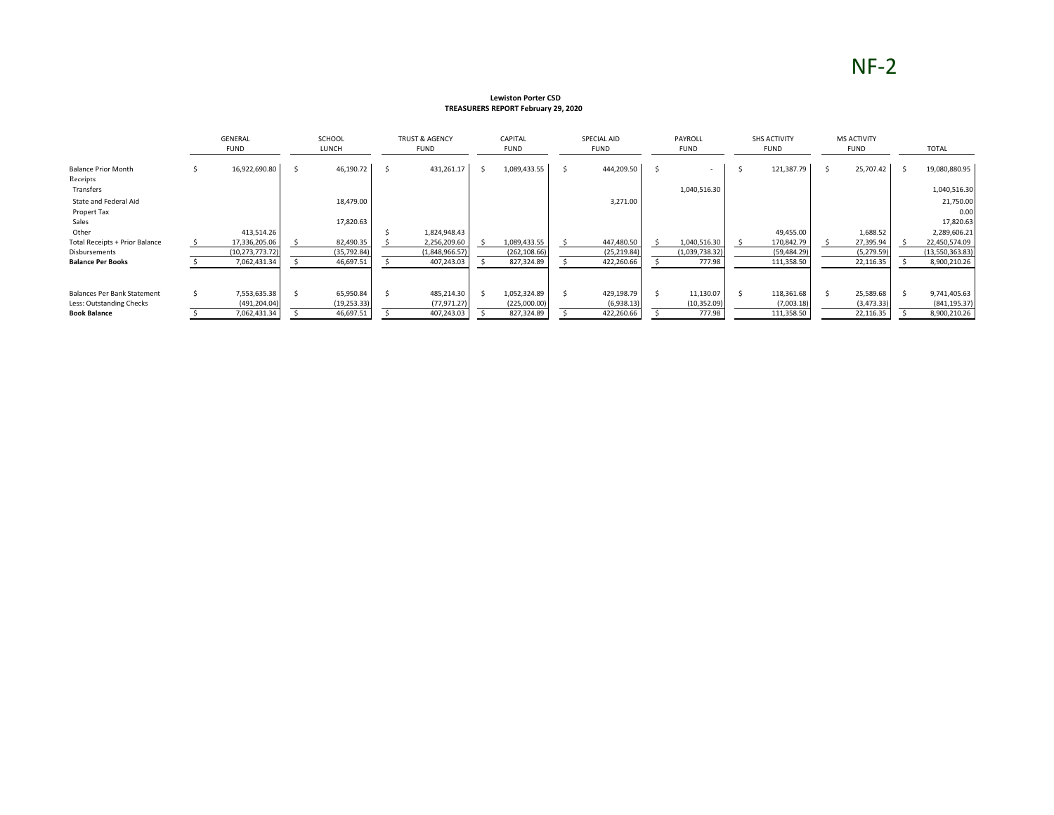# NF-2

#### **Lewiston Porter CSD TREASURERS REPORT February 29, 2020**

|                                        |    | <b>GENERAL</b><br><b>FUND</b> | SCHOOL<br>LUNCH | <b>TRUST &amp; AGENCY</b><br><b>FUND</b> | CAPITAL<br><b>FUND</b> |   | SPECIAL AID<br><b>FUND</b> | PAYROLL<br><b>FUND</b> | <b>SHS ACTIVITY</b><br><b>FUND</b> | <b>MS ACTIVITY</b><br><b>FUND</b> | <b>TOTAL</b>      |
|----------------------------------------|----|-------------------------------|-----------------|------------------------------------------|------------------------|---|----------------------------|------------------------|------------------------------------|-----------------------------------|-------------------|
| <b>Balance Prior Month</b><br>Receipts |    | 16,922,690.80                 | 46,190.72       | 431,261.17                               | 1,089,433.55           | Ŝ | 444,209.50                 |                        | 121,387.79                         | 25,707.42                         | 19,080,880.95     |
| Transfers                              |    |                               |                 |                                          |                        |   |                            | 1,040,516.30           |                                    |                                   | 1,040,516.30      |
| State and Federal Aid                  |    |                               | 18,479.00       |                                          |                        |   | 3,271.00                   |                        |                                    |                                   | 21,750.00         |
| Propert Tax<br>Sales                   |    |                               | 17,820.63       |                                          |                        |   |                            |                        |                                    |                                   | 0.00<br>17,820.63 |
| Other                                  |    | 413,514.26                    |                 | 1,824,948.43                             |                        |   |                            |                        | 49,455.00                          | 1,688.52                          | 2,289,606.21      |
| <b>Total Receipts + Prior Balance</b>  |    | 17,336,205.06                 | 82,490.35       | 2,256,209.60                             | 1,089,433.55           |   | 447,480.50                 | 1,040,516.30           | 170,842.79                         | 27,395.94                         | 22,450,574.09     |
| Disbursements                          |    | (10, 273, 773.72)             | (35, 792.84)    | (1,848,966.57)                           | (262, 108.66)          |   | (25, 219.84)               | (1,039,738.32)         | (59, 484.29)                       | (5, 279.59)                       | (13,550,363.83)   |
| <b>Balance Per Books</b>               |    | 7,062,431.34                  | 46,697.51       | 407,243.03                               | 827,324.89             |   | 422,260.66                 | 777.98                 | 111,358.50                         | 22,116.35                         | 8,900,210.26      |
|                                        |    |                               |                 |                                          |                        |   |                            |                        |                                    |                                   |                   |
| <b>Balances Per Bank Statement</b>     | Ŝ. | 7,553,635.38                  | 65,950.84       | 485,214.30                               | 1,052,324.89           |   | 429,198.79                 | 11,130.07              | 118,361.68                         | 25,589.68                         | 9,741,405.63      |
| Less: Outstanding Checks               |    | (491, 204.04)                 | (19, 253.33)    | (77, 971.27)                             | (225,000.00)           |   | (6,938.13)                 | (10, 352.09)           | (7,003.18)                         | (3, 473.33)                       | (841, 195.37)     |
| <b>Book Balance</b>                    |    | 7,062,431.34                  | 46,697.51       | 407,243.03                               | 827,324.89             |   | 422,260.66                 | 777.98                 | 111,358.50                         | 22,116.35                         | 8,900,210.26      |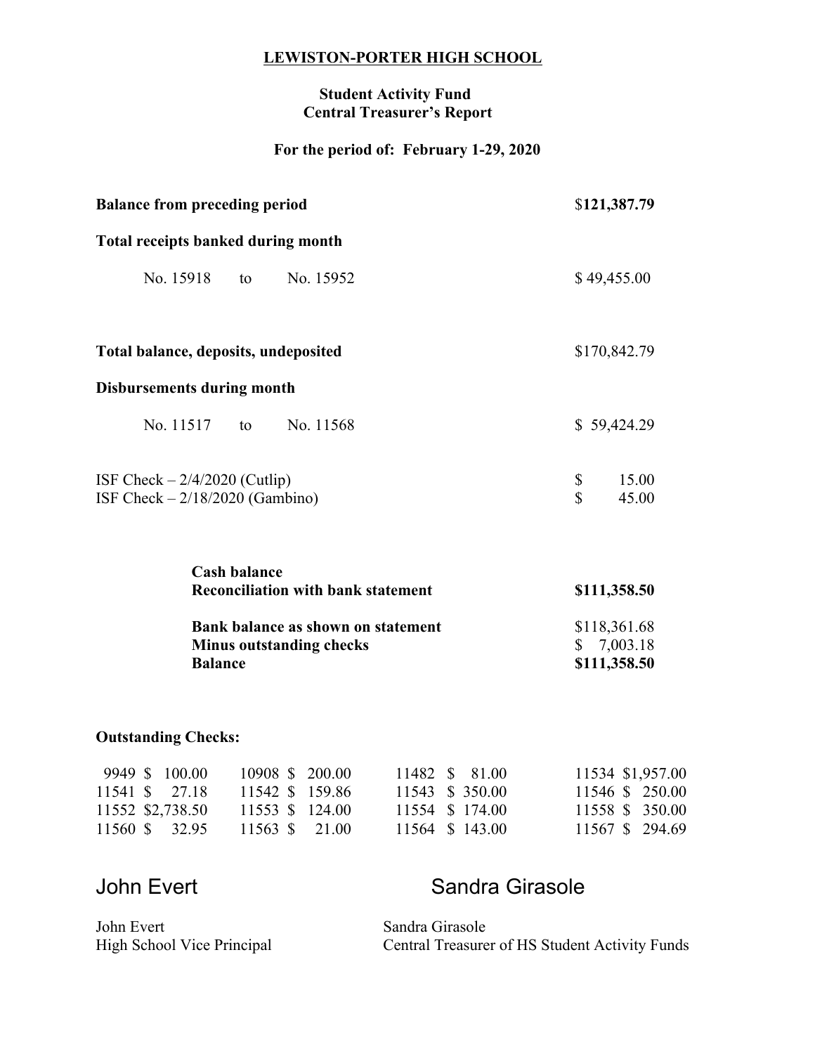#### **LEWISTON-PORTER HIGH SCHOOL**

#### **Student Activity Fund Central Treasurer's Report**

## **For the period of: February 1-29, 2020**

| <b>Balance from preceding period</b>                                                           | \$121,387.79                                             |  |
|------------------------------------------------------------------------------------------------|----------------------------------------------------------|--|
| <b>Total receipts banked during month</b>                                                      |                                                          |  |
| No. 15918<br>to No. 15952                                                                      | \$49,455.00                                              |  |
| Total balance, deposits, undeposited                                                           | \$170,842.79                                             |  |
| <b>Disbursements during month</b>                                                              |                                                          |  |
| No. 11517<br>to No. 11568                                                                      | \$59,424.29                                              |  |
| ISF Check $-2/4/2020$ (Cutlip)<br>ISF Check $-2/18/2020$ (Gambino)                             | \$<br>15.00<br>$\hat{\mathbf{S}}$<br>45.00               |  |
| <b>Cash balance</b><br><b>Reconciliation with bank statement</b>                               | \$111,358.50                                             |  |
| <b>Bank balance as shown on statement</b><br><b>Minus outstanding checks</b><br><b>Balance</b> | \$118,361.68<br>7,003.18<br>$\mathbb{S}$<br>\$111,358.50 |  |

## **Outstanding Checks:**

| 9949 \$ 100.00   | 10908 \$ 200.00 |  | 11482 \$ 81.00  | 11534 \$1,957.00 |
|------------------|-----------------|--|-----------------|------------------|
| 11541 \$ 27.18   | 11542 \$ 159.86 |  | 11543 \$ 350.00 | 11546 \$ 250.00  |
| 11552 \$2,738.50 | 11553 \$ 124.00 |  | 11554 \$ 174.00 | 11558 \$ 350.00  |
| 11560 \$ 32.95   | 11563 \$ 21.00  |  | 11564 \$ 143.00 | 11567 \$ 294.69  |

# John Evert **Sandra Girasole**

| John Evert                 | Sandra Girasole                                |
|----------------------------|------------------------------------------------|
| High School Vice Principal | Central Treasurer of HS Student Activity Funds |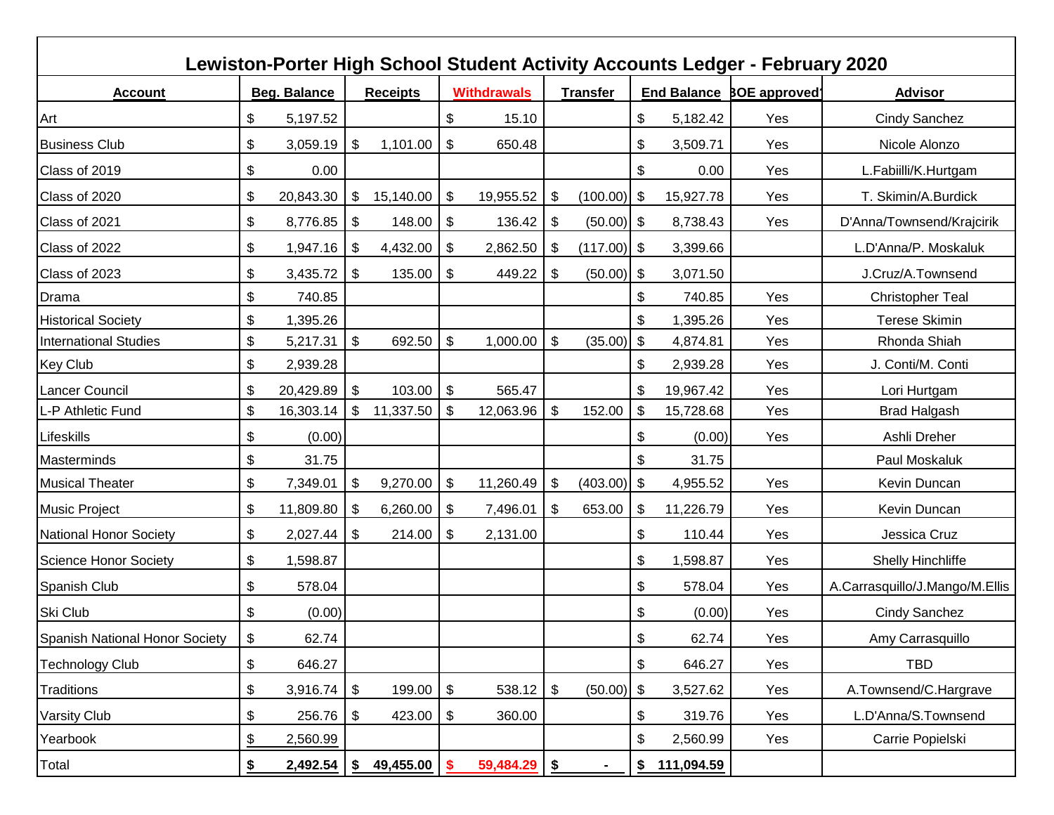|                                |               |              |       |                     |                           |                    |                            |                 |                           |            | Lewiston-Porter High School Student Activity Accounts Ledger - February 2020 |                                |
|--------------------------------|---------------|--------------|-------|---------------------|---------------------------|--------------------|----------------------------|-----------------|---------------------------|------------|------------------------------------------------------------------------------|--------------------------------|
| <b>Account</b>                 |               | Beg. Balance |       | <b>Receipts</b>     |                           | <b>Withdrawals</b> |                            | <b>Transfer</b> |                           |            | <b>End Balance BOE approved</b>                                              | <b>Advisor</b>                 |
| Art                            | \$            | 5,197.52     |       |                     | \$                        | 15.10              |                            |                 | \$                        | 5,182.42   | Yes                                                                          | Cindy Sanchez                  |
| <b>Business Club</b>           | \$            | 3,059.19     | \$    | 1,101.00            | \$                        | 650.48             |                            |                 | \$                        | 3,509.71   | Yes                                                                          | Nicole Alonzo                  |
| Class of 2019                  | \$            | 0.00         |       |                     |                           |                    |                            |                 | \$                        | 0.00       | Yes                                                                          | L.Fabiilli/K.Hurtgam           |
| Class of 2020                  | \$            | 20,843.30    | \$    | 15,140.00           | \$                        | 19,955.52          | -\$                        | $(100.00)$ \$   |                           | 15,927.78  | Yes                                                                          | T. Skimin/A.Burdick            |
| Class of 2021                  | \$            | 8,776.85     | \$    | 148.00              | \$                        | 136.42             | \$                         | $(50.00)$ \$    |                           | 8,738.43   | Yes                                                                          | D'Anna/Townsend/Krajcirik      |
| Class of 2022                  | \$            | 1,947.16     | \$    | 4,432.00            | \$                        | 2,862.50           | l \$                       | $(117.00)$ \$   |                           | 3,399.66   |                                                                              | L.D'Anna/P. Moskaluk           |
| Class of 2023                  | \$            | 3,435.72     | \$    | 135.00              | -\$                       | 449.22             | -\$                        | $(50.00)$ \$    |                           | 3,071.50   |                                                                              | J.Cruz/A.Townsend              |
| Drama                          | \$            | 740.85       |       |                     |                           |                    |                            |                 | \$                        | 740.85     | Yes                                                                          | <b>Christopher Teal</b>        |
| <b>Historical Society</b>      | \$            | 1,395.26     |       |                     |                           |                    |                            |                 | \$                        | 1,395.26   | Yes                                                                          | <b>Terese Skimin</b>           |
| <b>International Studies</b>   | \$            | 5,217.31     | $\$\$ | 692.50              | $\frac{1}{2}$             | 1,000.00           | $\boldsymbol{\mathsf{S}}$  | (35.00)         | $\boldsymbol{\mathsf{S}}$ | 4,874.81   | Yes                                                                          | Rhonda Shiah                   |
| <b>Key Club</b>                | \$            | 2,939.28     |       |                     |                           |                    |                            |                 | \$                        | 2,939.28   | Yes                                                                          | J. Conti/M. Conti              |
| Lancer Council                 | \$            | 20,429.89    | \$    | 103.00              | $\boldsymbol{\mathsf{S}}$ | 565.47             |                            |                 | \$                        | 19,967.42  | Yes                                                                          | Lori Hurtgam                   |
| L-P Athletic Fund              | \$            | 16,303.14    | \$    | 11,337.50           | \$                        | 12,063.96          | \$                         | 152.00          | \$                        | 15,728.68  | Yes                                                                          | <b>Brad Halgash</b>            |
| Lifeskills                     | \$            | (0.00)       |       |                     |                           |                    |                            |                 | \$                        | (0.00)     | Yes                                                                          | Ashli Dreher                   |
| <b>Masterminds</b>             | \$            | 31.75        |       |                     |                           |                    |                            |                 | \$                        | 31.75      |                                                                              | Paul Moskaluk                  |
| <b>Musical Theater</b>         | \$            | 7,349.01     | \$    | 9,270.00            | \$                        | 11,260.49          | $\boldsymbol{\mathsf{\$}}$ | $(403.00)$ \$   |                           | 4,955.52   | Yes                                                                          | Kevin Duncan                   |
| <b>Music Project</b>           | \$            | 11,809.80    | \$    | 6,260.00            | \$                        | 7,496.01           | \$                         | 653.00          | \$                        | 11,226.79  | Yes                                                                          | Kevin Duncan                   |
| <b>National Honor Society</b>  | \$            | 2,027.44     | \$    | 214.00              | \$                        | 2,131.00           |                            |                 | \$                        | 110.44     | Yes                                                                          | Jessica Cruz                   |
| Science Honor Society          | \$            | 1,598.87     |       |                     |                           |                    |                            |                 | \$                        | 1,598.87   | Yes                                                                          | <b>Shelly Hinchliffe</b>       |
| Spanish Club                   | \$            | 578.04       |       |                     |                           |                    |                            |                 | \$                        | 578.04     | Yes                                                                          | A.Carrasquillo/J.Mango/M.Ellis |
| Ski Club                       | \$            | (0.00)       |       |                     |                           |                    |                            |                 | \$                        | (0.00)     | Yes                                                                          | Cindy Sanchez                  |
| Spanish National Honor Society | \$            | 62.74        |       |                     |                           |                    |                            |                 | \$                        | 62.74      | Yes                                                                          | Amy Carrasquillo               |
| <b>Technology Club</b>         | \$            | 646.27       |       |                     |                           |                    |                            |                 | \$                        | 646.27     | Yes                                                                          | <b>TBD</b>                     |
| Traditions                     | \$            | 3,916.74     | \$    | 199.00              | \$                        | 538.12             | \$                         | $(50.00)$ \$    |                           | 3,527.62   | Yes                                                                          | A.Townsend/C.Hargrave          |
| Varsity Club                   | \$            | 256.76       | \$    | 423.00              | \$                        | 360.00             |                            |                 | \$                        | 319.76     | Yes                                                                          | L.D'Anna/S.Townsend            |
| Yearbook                       | $\frac{1}{2}$ | 2,560.99     |       |                     |                           |                    |                            |                 | \$                        | 2,560.99   | Yes                                                                          | Carrie Popielski               |
| Total                          | \$            | 2,492.54     |       | $$49,455.00$ \ \ \$ |                           | 59,484.29 \$       |                            |                 | \$                        | 111,094.59 |                                                                              |                                |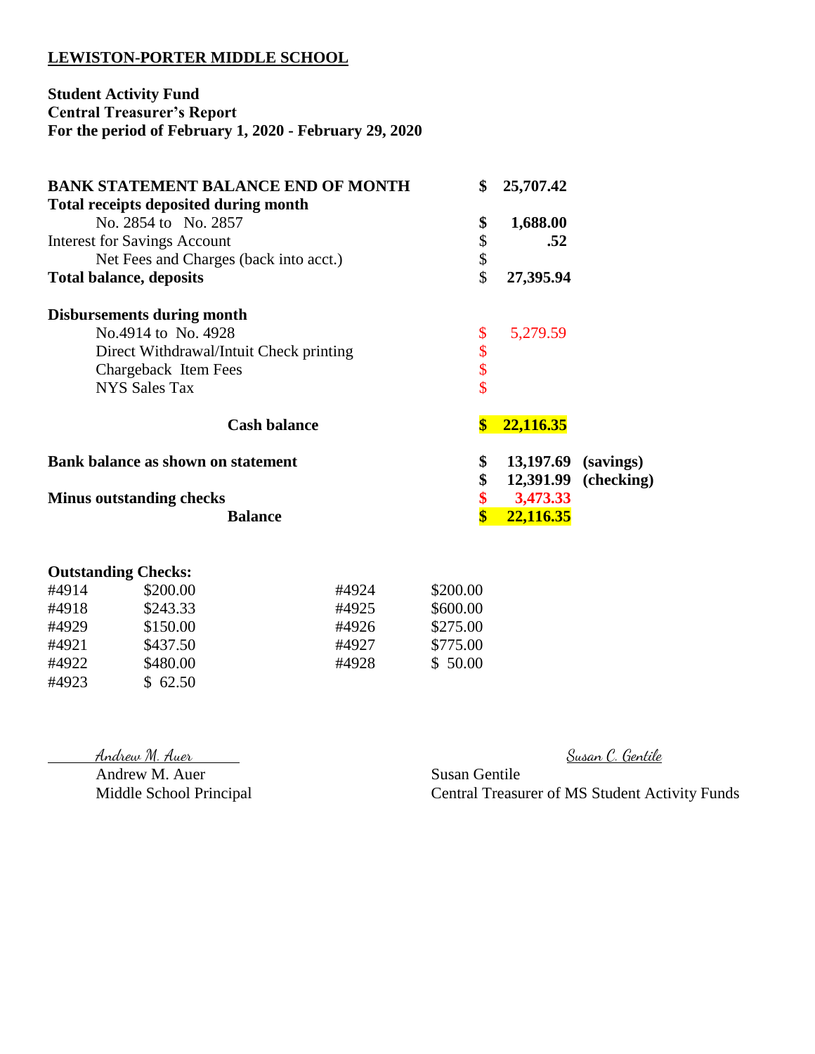#### **LEWISTON-PORTER MIDDLE SCHOOL**

#### **Student Activity Fund Central Treasurer's Report For the period of February 1, 2020 - February 29, 2020**

| <b>BANK STATEMENT BALANCE END OF MONTH</b>   | \$                      | 25,707.42 |            |
|----------------------------------------------|-------------------------|-----------|------------|
| <b>Total receipts deposited during month</b> |                         |           |            |
| No. 2854 to No. 2857                         | \$                      | 1,688.00  |            |
| <b>Interest for Savings Account</b>          | \$                      | .52       |            |
| Net Fees and Charges (back into acct.)       | \$                      |           |            |
| <b>Total balance, deposits</b>               | \$                      | 27,395.94 |            |
| <b>Disbursements during month</b>            |                         |           |            |
| No.4914 to No. 4928                          | \$                      | 5,279.59  |            |
| Direct Withdrawal/Intuit Check printing      | \$                      |           |            |
| Chargeback Item Fees                         | \$                      |           |            |
| <b>NYS Sales Tax</b>                         | \$                      |           |            |
| <b>Cash balance</b>                          | $\boldsymbol{s}$        | 22,116.35 |            |
| Bank balance as shown on statement           | \$                      | 13,197.69 | (savings)  |
|                                              | \$                      | 12,391.99 | (checking) |
| <b>Minus outstanding checks</b>              | \$                      | 3,473.33  |            |
| <b>Balance</b>                               | $\overline{\textbf{S}}$ | 22,116.35 |            |
|                                              |                         |           |            |
| <b>Outstanding Checks:</b>                   |                         |           |            |

| #4914 | \$200.00 | #4924 | \$200.00 |
|-------|----------|-------|----------|
| #4918 | \$243.33 | #4925 | \$600.00 |
| #4929 | \$150.00 | #4926 | \$275.00 |
| #4921 | \$437.50 | #4927 | \$775.00 |
| #4922 | \$480.00 | #4928 | \$50.00  |
| #4923 | \$62.50  |       |          |

Andrew M. Auer Susan Gentile<br>Middle School Principal Central Treasu

Andrew M. Auer Susan C. Gentile

Central Treasurer of MS Student Activity Funds